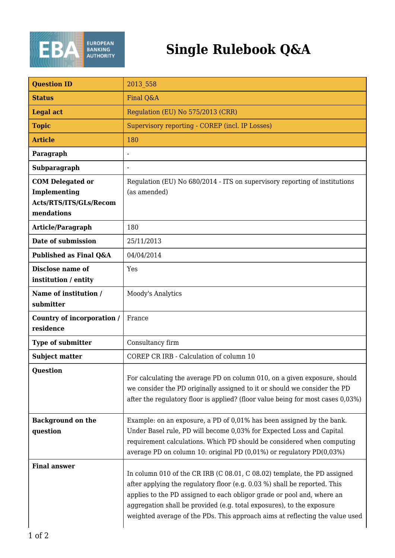

## **Single Rulebook Q&A**

| <b>Question ID</b>                                                              | 2013 558                                                                                                                                                                                                                                                                                                                                                                                 |
|---------------------------------------------------------------------------------|------------------------------------------------------------------------------------------------------------------------------------------------------------------------------------------------------------------------------------------------------------------------------------------------------------------------------------------------------------------------------------------|
| <b>Status</b>                                                                   | Final Q&A                                                                                                                                                                                                                                                                                                                                                                                |
| <b>Legal act</b>                                                                | Regulation (EU) No 575/2013 (CRR)                                                                                                                                                                                                                                                                                                                                                        |
| <b>Topic</b>                                                                    | Supervisory reporting - COREP (incl. IP Losses)                                                                                                                                                                                                                                                                                                                                          |
| <b>Article</b>                                                                  | 180                                                                                                                                                                                                                                                                                                                                                                                      |
| Paragraph                                                                       |                                                                                                                                                                                                                                                                                                                                                                                          |
| Subparagraph                                                                    |                                                                                                                                                                                                                                                                                                                                                                                          |
| <b>COM Delegated or</b><br>Implementing<br>Acts/RTS/ITS/GLs/Recom<br>mendations | Regulation (EU) No 680/2014 - ITS on supervisory reporting of institutions<br>(as amended)                                                                                                                                                                                                                                                                                               |
| Article/Paragraph                                                               | 180                                                                                                                                                                                                                                                                                                                                                                                      |
| Date of submission                                                              | 25/11/2013                                                                                                                                                                                                                                                                                                                                                                               |
| Published as Final Q&A                                                          | 04/04/2014                                                                                                                                                                                                                                                                                                                                                                               |
| Disclose name of<br>institution / entity                                        | Yes                                                                                                                                                                                                                                                                                                                                                                                      |
| Name of institution /<br>submitter                                              | Moody's Analytics                                                                                                                                                                                                                                                                                                                                                                        |
| Country of incorporation /<br>residence                                         | France                                                                                                                                                                                                                                                                                                                                                                                   |
| Type of submitter                                                               | Consultancy firm                                                                                                                                                                                                                                                                                                                                                                         |
| <b>Subject matter</b>                                                           | COREP CR IRB - Calculation of column 10                                                                                                                                                                                                                                                                                                                                                  |
| <b>Question</b>                                                                 | For calculating the average PD on column 010, on a given exposure, should<br>we consider the PD originally assigned to it or should we consider the PD<br>after the regulatory floor is applied? (floor value being for most cases 0,03%)                                                                                                                                                |
| <b>Background on the</b><br>question                                            | Example: on an exposure, a PD of 0,01% has been assigned by the bank.<br>Under Basel rule, PD will become 0,03% for Expected Loss and Capital<br>requirement calculations. Which PD should be considered when computing<br>average PD on column 10: original PD (0,01%) or regulatory PD(0,03%)                                                                                          |
| <b>Final answer</b>                                                             | In column 010 of the CR IRB (C 08.01, C 08.02) template, the PD assigned<br>after applying the regulatory floor (e.g. 0.03 %) shall be reported. This<br>applies to the PD assigned to each obligor grade or pool and, where an<br>aggregation shall be provided (e.g. total exposures), to the exposure<br>weighted average of the PDs. This approach aims at reflecting the value used |